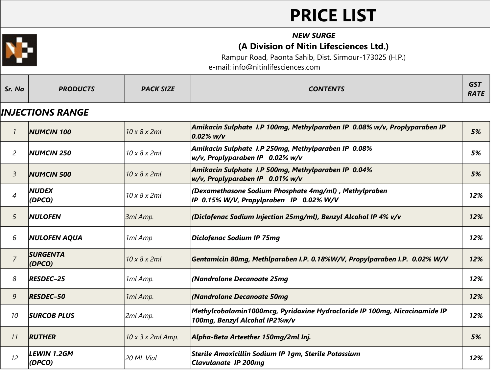# **PRICE LIST**



#### *NEW SURGE* **(A Division of Nitin Lifesciences Ltd.)**

Rampur Road, Paonta Sahib, Dist. Sirmour-173025 (H.P.)

e-mail: info@nitinlifesciences.com

#### *INJECTIONS RANGE*

|                | <b>NUMCIN 100</b>                 | 10 x 8 x 2ml      | Amikacin Sulphate I.P 100mg, Methylparaben IP 0.08% w/v, Proplyparaben IP<br>$0.02\%$ w/v                  | 5%  |
|----------------|-----------------------------------|-------------------|------------------------------------------------------------------------------------------------------------|-----|
| $\overline{2}$ | <b>NUMCIN 250</b>                 | 10 x 8 x 2ml      | Amikacin Sulphate I.P 250mg, Methylparaben IP 0.08%<br>w/v, Proplyparaben IP 0.02% w/v                     | 5%  |
| 3              | <b>NUMCIN 500</b>                 | 10 x 8 x 2ml      | Amikacin Sulphate I.P 500mg, Methylparaben IP 0.04%<br>w/v, Proplyparaben IP 0.01% w/v                     | 5%  |
| $\overline{4}$ | <b>NUDEX</b><br>(DPCO)            | 10 x 8 x 2ml      | (Dexamethasone Sodium Phosphate 4mg/ml), Methylpraben<br>IP 0.15% W/V, Propylpraben IP 0.02% W/V           | 12% |
| 5              | <b>NULOFEN</b>                    | 3ml Amp.          | (Diclofenac Sodium Injection 25mg/ml), Benzyl Alcohol IP 4% v/v                                            | 12% |
| 6              | <b>NULOFEN AQUA</b>               | 1ml Amp           | Diclofenac Sodium IP 75mg                                                                                  | 12% |
| $\overline{7}$ | <b>SURGENTA</b><br>$\vert$ (DPCO) | 10 x 8 x 2ml      | Gentamicin 80mg, Methlparaben I.P. 0.18%W/V, Propylparaben I.P. 0.02% W/V                                  | 12% |
| 8              | <b>RESDEC-25</b>                  | 1ml Amp.          | (Nandrolone Decanoate 25mg                                                                                 | 12% |
| 9              | <b>RESDEC-50</b>                  | 1ml Amp.          | (Nandrolone Decanoate 50mq                                                                                 | 12% |
| 10             | <b>SURCOB PLUS</b>                | 2ml Amp.          | Methylcobalamin1000mcg, Pyridoxine Hydrocloride IP 100mg, Nicacinamide IP<br>100mg, Benzyl Alcohal IP2%w/v | 12% |
| 11             | <b>RUTHER</b>                     | 10 x 3 x 2ml Amp. | Alpha-Beta Arteether 150mg/2ml Inj.                                                                        | 5%  |
| 12             | LEWIN 1.2GM<br>(DPCO)             | l20 ML Vial       | Sterile Amoxicillin Sodium IP 1gm, Sterile Potassium<br><b>Clavulanate IP 200mg</b>                        | 12% |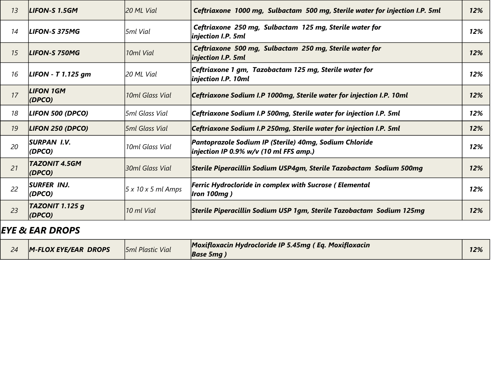| 13 | LIFON-S 1.5GM                  | 20 ML Vial            | Ceftriaxone 1000 mg, Sulbactam 500 mg, Sterile water for injection I.P. 5ml                      | 12% |
|----|--------------------------------|-----------------------|--------------------------------------------------------------------------------------------------|-----|
| 14 | LIFON-S 375MG                  | l5ml Vial             | Ceftriaxone 250 mg, Sulbactam 125 mg, Sterile water for<br>injection I.P. 5ml                    | 12% |
| 15 | LIFON-S 750MG                  | 10ml Vial             | Ceftriaxone 500 mg, Sulbactam 250 mg, Sterile water for<br>injection I.P. 5ml                    | 12% |
| 16 | LIFON - T 1.125 $qm$           | 20 ML Vial            | Ceftriaxone 1 gm, Tazobactam 125 mg, Sterile water for<br>injection I.P. 10ml                    | 12% |
| 17 | <b>LIFON 1GM</b><br>(DPCO)     | 10ml Glass Vial       | Ceftriaxone Sodium I.P 1000mg, Sterile water for injection I.P. 10ml                             | 12% |
| 18 | LIFON 500 (DPCO)               | l5ml Glass Vial       | Ceftriaxone Sodium I.P 500mg, Sterile water for injection I.P. 5ml                               | 12% |
| 19 | LIFON 250 (DPCO)               | <b>5ml Glass Vial</b> | Ceftriaxone Sodium I.P 250mg, Sterile water for injection I.P. 5ml                               | 12% |
| 20 | <b>SURPAN I.V.</b><br>(DPCO)   | 10ml Glass Vial       | Pantoprazole Sodium IP (Sterile) 40mg, Sodium Chloride<br>injection IP 0.9% w/v (10 ml FFS amp.) | 12% |
| 21 | <b>TAZONIT 4.5GM</b><br>(DPCO) | 30ml Glass Vial       | Sterile Piperacillin Sodium USP4gm, Sterile Tazobactam Sodium 500mg                              | 12% |
| 22 | <b>SURFER INJ.</b><br>(DPCO)   | 5x10x5ml Amps         | Ferric Hydrocloride in complex with Sucrose (Elemental<br><b>Iron 100mg)</b>                     | 12% |
| 23 | TAZONIT 1.125 g<br>(DPCO)      | 10 ml Vial            | Sterile Piperacillin Sodium USP 1gm, Sterile Tazobactam Sodium 125mg                             | 12% |

#### *EYE & EAR DROPS*

|  | M-FLOX EYE/EAR DROPS | <b>5ml Plastic Vial</b> | $\blacksquare$ Moxifloxacin Hydrocloride IP 5.45mg (Eq. Moxifloxacin<br><b>Base 5mg</b> | 12% |
|--|----------------------|-------------------------|-----------------------------------------------------------------------------------------|-----|
|--|----------------------|-------------------------|-----------------------------------------------------------------------------------------|-----|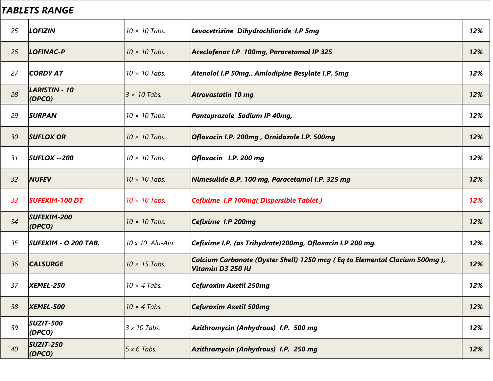#### *TABLETS RANGE*

| 25 | <b>LOFIZIN</b>                       | $10 \times 10$ Tabs. | Levocetrizine Dihydrochlioride I.P 5mg                                                            | 12% |
|----|--------------------------------------|----------------------|---------------------------------------------------------------------------------------------------|-----|
| 26 | LOFINAC-P                            | $10 \times 10$ Tabs. | Aceclofenac I.P 100mg, Paracetamol IP 325                                                         | 12% |
| 27 | <b>CORDY AT</b>                      | $10 \times 10$ Tabs. | Atenolol I.P 50mg,. Amlodipine Besylate I.P. 5mg                                                  | 12% |
| 28 | LARISTIN - 10<br>$\vert$ (DPCO)      | $3 \times 10$ Tabs.  | <b>Atrovastatin 10 mg</b>                                                                         | 12% |
| 29 | <b>SURPAN</b>                        | $10 \times 10$ Tabs. | Pantoprazole Sodium IP 40mg,                                                                      | 12% |
| 30 | <b>SUFLOX OR</b>                     | $10 \times 10$ Tabs. | Ofloxacin I.P. 200mg , Ornidazole I.P. 500mg                                                      | 12% |
| 31 | $ SUFLOX - 200 $                     | $10 \times 10$ Tabs. | Ofloxacin I.P. 200 mg                                                                             | 12% |
| 32 | <b>NUFEV</b>                         | $10 \times 10$ Tabs. | Nimesulide B.P. 100 mg, Paracetamol I.P. 325 mg                                                   | 12% |
| 33 | <b>SUFEXIM-100 DT</b>                | $10 \times 10$ Tabs. | Cefixime I.P 100mg (Dispersible Tablet)                                                           | 12% |
| 34 | <b>SUFEXIM-200</b><br>$\vert$ (DPCO) | $10 \times 10$ Tabs. | Cefixime I.P 200mg                                                                                | 12% |
| 35 | SUFEXIM - O 200 TAB.                 | 10 x 10 Alu-Alu      | Cefixime I.P. (as Trihydrate)200mg, Ofloxacin I.P 200 mg.                                         | 12% |
| 36 | <b>CALSURGE</b>                      | $10 \times 15$ Tabs. | Calcium Carbonate (Oyster Shell) 1250 mcg ( Eq to Elemental Clacium 500mg ),<br>Vitamin D3 250 IU | 12% |
| 37 | <b>XEMEL-250</b>                     | $10 \times 4$ Tabs.  | Cefuroxim Axetil 250mg                                                                            | 12% |
| 38 | <b>XEMEL-500</b>                     | $10 \times 4$ Tabs.  | Cefuroxim Axetil 500mg                                                                            | 12% |
| 39 | <b>SUZIT-500</b><br>$\vert$ (DPCO)   | 3 x 10 Tabs.         | Azithromycin (Anhydrous) I.P. 500 mg                                                              | 12% |
| 40 | <b>SUZIT-250</b><br>$\vert$ (DPCO)   | $5 x 6$ Tabs.        | Azithromycin (Anhydrous) I.P. 250 mg                                                              | 12% |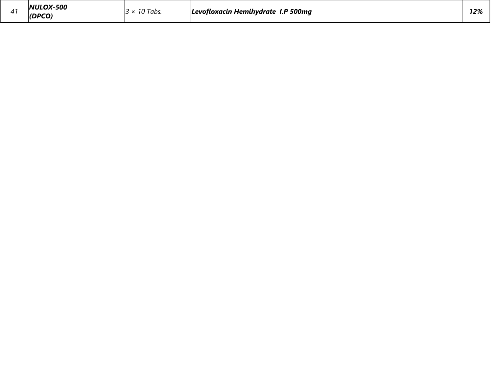| LOX-500<br>1017 J<br>12%<br>$\sim$<br><b>I.P 500mg</b><br>4 <sup>1</sup><br>$\sim$<br>Hemihvdrate<br>l abs.<br><b>Levotloxacın</b><br>,,,<br>ndro)<br>. . |
|-----------------------------------------------------------------------------------------------------------------------------------------------------------|
|-----------------------------------------------------------------------------------------------------------------------------------------------------------|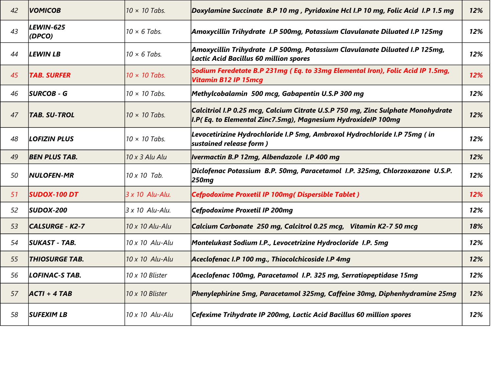| 42 | <b>VOMICOB</b>         | $10 \times 10$ Tabs.  | Doxylamine Succinate B.P 10 mg, Pyridoxine Hcl I.P 10 mg, Folic Acid I.P 1.5 mg                                                                  | 12% |
|----|------------------------|-----------------------|--------------------------------------------------------------------------------------------------------------------------------------------------|-----|
| 43 | LEWIN-625<br>(DPCO)    | $10 \times 6$ Tabs.   | Amoxycillin Trihydrate I.P 500mg, Potassium Clavulanate Diluated I.P 125mg                                                                       | 12% |
| 44 | <b>LEWIN LB</b>        | $10 \times 6$ Tabs.   | Amoxycillin Trihydrate I.P 500mg, Potassium Clavulanate Diluated I.P 125mg,<br>Lactic Acid Bacillus 60 million spores                            | 12% |
| 45 | <b>TAB. SURFER</b>     | $10 \times 10$ Tabs.  | Sodium Feredetate B.P 231mg (Eq. to 33mg Elemental Iron), Folic Acid IP 1.5mg,<br><b>Vitamin B12 IP 15mcq</b>                                    | 12% |
| 46 | <b>SURCOB - G</b>      | $10 \times 10$ Tabs.  | Methylcobalamin 500 mcg, Gabapentin U.S.P 300 mg                                                                                                 | 12% |
| 47 | <b>TAB. SU-TROL</b>    | $10 \times 10$ Tabs.  | Calcitriol I.P 0.25 mcg, Calcium Citrate U.S.P 750 mg, Zinc Sulphate Monohydrate<br>I.P(Eq. to Elemental Zinc7.5mg), Magnesium HydroxideIP 100mg | 12% |
| 48 | LOFIZIN PLUS           | $10 \times 10$ Tabs.  | Levocetirizine Hydrochloride I.P 5mg, Ambroxol Hydrochloride I.P 75mg (in<br>sustained release form)                                             | 12% |
| 49 | <b>BEN PLUS TAB.</b>   | $10 \times 3$ Alu Alu | <b>Ivermactin B.P 12mg, Albendazole I.P 400 mg</b>                                                                                               | 12% |
| 50 | <b>NULOFEN-MR</b>      | 10 x 10 Tab.          | Diclofenac Potassium B.P. 50mg, Paracetamol I.P. 325mg, Chlorzoxazone U.S.P.<br>250 <sub>mg</sub>                                                | 12% |
| 51 | <b>SUDOX-100 DT</b>    | 3 x 10 Alu-Alu.       | Cefpodoxime Proxetil IP 100mg( Dispersible Tablet)                                                                                               | 12% |
| 52 | $ SUDOX-200 $          | 3 x 10 Alu-Alu.       | Cefpodoxime Proxetil IP 200mg                                                                                                                    | 12% |
| 53 | <b>CALSURGE - K2-7</b> | 10 x 10 Alu-Alu       | Calcium Carbonate 250 mg, Calcitrol 0.25 mcg, Vitamin K2-7 50 mcg                                                                                | 18% |
| 54 | <b>SUKAST - TAB.</b>   | 10 x 10 Alu-Alu       | Montelukast Sodium I.P., Levocetrizine Hydrocloride I.P. 5mg                                                                                     | 12% |
| 55 | <b>THIOSURGE TAB.</b>  | 10 x 10 Alu-Alu       | Aceclofenac I.P 100 mg., Thiocolchicoside I.P 4mg                                                                                                | 12% |
| 56 | LOFINAC-S TAB.         | 10 x 10 Blister       | Aceclofenac 100mg, Paracetamol I.P. 325 mg, Serratiopeptidase 15mg                                                                               | 12% |
| 57 | $ ACTI + 4 TAB$        | 10 x 10 Blister       | Phenylephirine 5mg, Paracetamol 325mg, Caffeine 30mg, Diphenhydramine 25mg                                                                       | 12% |
| 58 | <b>SUFEXIM LB</b>      | 10 x 10 Alu-Alu       | Cefexime Trihydrate IP 200mg, Lactic Acid Bacillus 60 million spores                                                                             | 12% |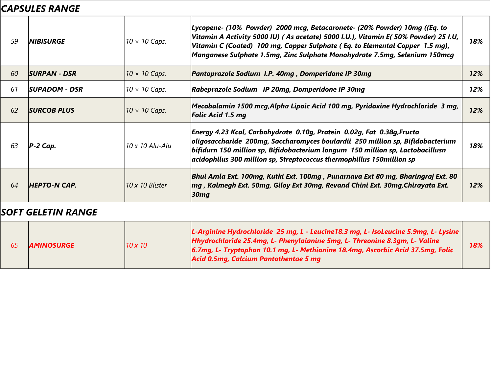## *CAPSULES RANGE*

| 59 | <i><b>INIBISURGE</b></i> | $10 \times 10$ Caps.   | Lycopene- (10%  Powder)  2000 mcg, Betacaronete- (20% Powder) 10mg ((Eq. to<br> Vitamin A Activity 5000 IU) ( As acetate) 5000 I.U.), Vitamin E( 50% Powder) 25 I.U,<br>Vitamin C (Coated) 100 mg, Copper Sulphate (Eq. to Elemental Copper 1.5 mg),<br>Manganese Sulphate 1.5mg, Zinc Sulphate Monohydrate 7.5mg, Selenium 150mcg | 18% |
|----|--------------------------|------------------------|------------------------------------------------------------------------------------------------------------------------------------------------------------------------------------------------------------------------------------------------------------------------------------------------------------------------------------|-----|
| 60 | <b>SURPAN - DSR</b>      | $10 \times 10$ Caps.   | Pantoprazole Sodium I.P. 40mg, Domperidone IP 30mg                                                                                                                                                                                                                                                                                 | 12% |
| 61 | <b>SUPADOM - DSR</b>     | $10 \times 10$ Caps.   | Rabeprazole Sodium IP 20mg, Domperidone IP 30mg                                                                                                                                                                                                                                                                                    | 12% |
| 62 | <b>SURCOB PLUS</b>       | $10 \times 10$ Caps.   | Mecobalamin 1500 mcg,Alpha Lipoic Acid 100 mg, Pyridoxine Hydrochloride  3 mg,<br>Folic Acid 1.5 mg                                                                                                                                                                                                                                | 12% |
| 63 | $ P-2 Cap.$              | $10 \times 10$ Alu-Alu | Energy 4.23 Kcal, Carbohydrate 0.10g, Protein 0.02g, Fat 0.38g, Fructo<br>oligosaccharide  200mg, Saccharomyces boulardii  250 million sp, Bifidobacterium<br>bifidurn 150 million sp, Bifidobacterium longum 150 million sp, Lactobacillusn<br>$\vert$ acidophilus 300 million sp, Streptococcus thermophillus 150million sp      | 18% |
| 64 | <b>HEPTO-N CAP.</b>      | 110 x 10 Blister       | Bhui Amla Ext. 100mg, Kutki Ext. 100mg , Punarnava Ext 80 mg, Bharingraj Ext. 80<br> mg , Kalmegh Ext. 50mg, Giloy Ext 30mg, Revand Chini Ext. 30mg,Chirayata Ext.<br>30mg                                                                                                                                                         | 12% |

## *SOFT GELETIN RANGE*

|  | <b>AMINOSURGE</b> | $10 \times 10$ | L-Arginine Hydrochloride 25 mg, L - Leucine 18.3 mg, L- IsoLeucine 5.9mg, L- Lysine<br>Hhydrochloride 25.4mg, L- Phenylaianine 5mg, L- Threonine 8.3gm, L- Valine<br>6.7mg, L- Tryptophan 10.1 mg, L- Methionine 18.4mg, Ascorbic Acid 37.5mg, Folic<br>Acid 0.5mg, Calcium Pantothentae 5 mg | 18% |
|--|-------------------|----------------|-----------------------------------------------------------------------------------------------------------------------------------------------------------------------------------------------------------------------------------------------------------------------------------------------|-----|
|--|-------------------|----------------|-----------------------------------------------------------------------------------------------------------------------------------------------------------------------------------------------------------------------------------------------------------------------------------------------|-----|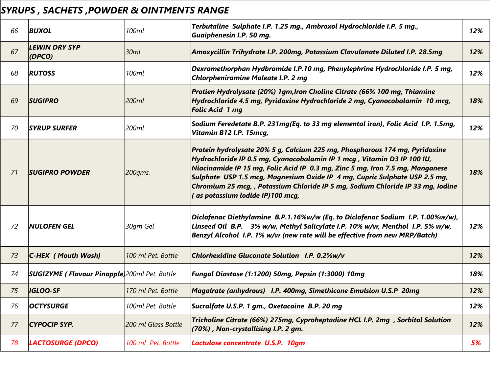# *SYRUPS , SACHETS ,POWDER & OINTMENTS RANGE*

| 66 | <b>BUXOL</b>                                         | 100ml               | Terbutaline Sulphate I.P. 1.25 mg., Ambroxol Hydrochloride I.P. 5 mg.,<br>Guaiphenesin I.P. 50 mg.                                                                                                                                                                                                                                                                                                                                           | 12% |
|----|------------------------------------------------------|---------------------|----------------------------------------------------------------------------------------------------------------------------------------------------------------------------------------------------------------------------------------------------------------------------------------------------------------------------------------------------------------------------------------------------------------------------------------------|-----|
| 67 | <b>LEWIN DRY SYP</b><br>(DPCO)                       | 30ml                | Amoxycillin Trihydrate I.P. 200mg, Potassium Clavulanate Diluted I.P. 28.5mg                                                                                                                                                                                                                                                                                                                                                                 | 12% |
| 68 | <b>RUTOSS</b>                                        | 100ml               | Dexromethorphan Hydbromide I.P.10 mg, Phenylephrine Hydrochloride I.P. 5 mg,<br>Chlorpheniramine Maleate I.P. 2 mg                                                                                                                                                                                                                                                                                                                           | 12% |
| 69 | <b>SUGIPRO</b>                                       | 200ml               | Protien Hydrolysate (20%) 1gm, Iron Choline Citrate (66% 100 mg, Thiamine<br>Hydrochloride 4.5 mg, Pyridoxine Hydrochloride 2 mg, Cyanocobalamin 10 mcg,<br><b>Folic Acid 1 mg</b>                                                                                                                                                                                                                                                           | 18% |
| 70 | <b>SYRUP SURFER</b>                                  | 200ml               | Sodium Feredetate B.P. 231mg(Eq. to 33 mg elemental iron), Folic Acid I.P. 1.5mg,<br>Vitamin B12 I.P. 15mcq,                                                                                                                                                                                                                                                                                                                                 | 12% |
| 71 | <b>SUGIPRO POWDER</b>                                | 200gms.             | Protein hydrolysate 20% 5 g, Calcium 225 mg, Phosphorous 174 mg, Pyridoxine<br>Hydrochloride IP 0.5 mg, Cyanocobalamin IP 1 mcg, Vitamin D3 IP 100 IU,<br>Niacinamide IP 15 mg, Folic Acid IP 0.3 mg, Zinc 5 mg, Iron 7.5 mg, Manganese<br>Sulphate USP 1.5 mcg, Magnesium Oxide IP 4 mg, Cupric Sulphate USP 2.5 mg,<br>Chromium 25 mcg, , Potassium Chloride IP 5 mg, Sodium Chloride IP 33 mg, Iodine<br>(as potassium lodide IP)100 mcq, | 18% |
| 72 | <b>NULOFEN GEL</b>                                   | 30gm Gel            | Diclofenac Diethylamine B.P.1.16%w/w (Eq. to Diclofenac Sodium I.P. 1.00%w/w),<br>Linseed Oil B.P. 3% w/w, Methyl Salicylate I.P. 10% w/w, Menthol I.P. 5% w/w,<br>Benzyl Alcohol I.P. 1% w/w (new rate will be effective from new MRP/Batch)                                                                                                                                                                                                | 12% |
| 73 | $ C$ -HEX (Mouth Wash)                               | 100 ml Pet. Bottle  | Chlorhexidine Gluconate Solution I.P. 0.2%w/v                                                                                                                                                                                                                                                                                                                                                                                                | 12% |
| 74 | <b>SUGIZYME (Flavour Pinapple)</b> 200ml Pet. Bottle |                     | Fungal Diastase (1:1200) 50mg, Pepsin (1:3000) 10mg                                                                                                                                                                                                                                                                                                                                                                                          | 18% |
| 75 | <b>IGLOO-SF</b>                                      | 170 ml Pet. Bottle  | Magalrate (anhydrous) I.P. 400mg, Simethicone Emulsion U.S.P 20mg                                                                                                                                                                                                                                                                                                                                                                            | 12% |
| 76 | <b>OCTYSURGE</b>                                     | 100ml Pet. Bottle   | Sucralfate U.S.P. 1 gm., Oxetacaine B.P. 20 mg                                                                                                                                                                                                                                                                                                                                                                                               | 12% |
| 77 | CYPOCIP SYP.                                         | 200 ml Glass Bottle | Tricholine Citrate (66%) 275mg, Cyproheptadine HCL I.P. 2mg, Sorbitol Solution<br>$(70%)$ , Non-crystallising I.P. 2 gm.                                                                                                                                                                                                                                                                                                                     | 12% |
| 78 | <b>LACTOSURGE (DPCO)</b>                             | 100 ml Pet. Bottle  | Lactulose concentrate U.S.P. 10gm                                                                                                                                                                                                                                                                                                                                                                                                            | 5%  |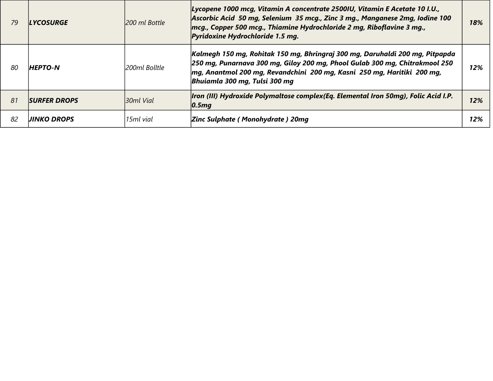| 79  | <b>LYCOSURGE</b>    | 200 ml Bottle  | Lycopene 1000 mcg, Vitamin A concentrate 2500IU, Vitamin E Acetate 10 I.U.,<br>Ascorbic Acid 50 mg, Selenium 35 mcg., Zinc 3 mg., Manganese 2mg, Iodine 100<br>mcg., Copper 500 mcg., Thiamine Hydrochloride 2 mg, Riboflavine 3 mg.,<br>Pyridoxine Hydrochloride 1.5 mg. | 18% |
|-----|---------------------|----------------|---------------------------------------------------------------------------------------------------------------------------------------------------------------------------------------------------------------------------------------------------------------------------|-----|
| -80 | <b>HEPTO-N</b>      | l200ml Bolltle | Kalmegh 150 mg, Rohitak 150 mg, Bhringraj 300 mg, Daruhaldi 200 mg, Pitpapda<br>250 mg, Punarnava 300 mg, Giloy 200 mg, Phool Gulab 300 mg, Chitrakmool 250<br>mg, Anantmol 200 mg, Revandchini 200 mg, Kasni 250 mg, Haritiki 200 mg,<br>Bhuiamla 300 mg, Tulsi 300 mg   | 12% |
| 81  | <b>SURFER DROPS</b> | l30ml Vial     | Iron (III) Hydroxide Polymaltose complex (Eq. Elemental Iron 50mg), Folic Acid I.P.<br> 0.5mg                                                                                                                                                                             | 12% |
| 82  | <b>UINKO DROPS</b>  | 15ml vial      | <b>Zinc Sulphate (Monohydrate) 20mg</b>                                                                                                                                                                                                                                   | 12% |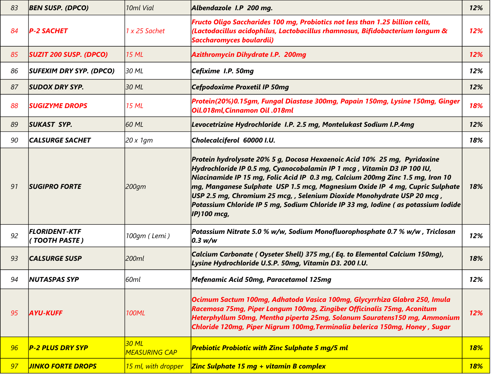| 83 | <b>BEN SUSP. (DPCO)</b>               | 10ml Vial                     | Albendazole I.P 200 mg.                                                                                                                                                                                                                                                                                                                                                                                                                                                                                   | 12%        |
|----|---------------------------------------|-------------------------------|-----------------------------------------------------------------------------------------------------------------------------------------------------------------------------------------------------------------------------------------------------------------------------------------------------------------------------------------------------------------------------------------------------------------------------------------------------------------------------------------------------------|------------|
| 84 | <b>P-2 SACHET</b>                     | 1 x 25 Sachet                 | Fructo Oligo Saccharides 100 mg, Probiotics not less than 1.25 billion cells,<br>(Lactodacillus acidophilus, Lactobacillus rhamnosus, Bifidobacterium longum &<br>Saccharomyces boulardii)                                                                                                                                                                                                                                                                                                                | 12%        |
| 85 | <b>SUZIT 200 SUSP. (DPCO)</b>         | <b>15 ML</b>                  | <b>Azithromycin Dihydrate I.P. 200mg</b>                                                                                                                                                                                                                                                                                                                                                                                                                                                                  | 12%        |
| 86 | <b>SUFEXIM DRY SYP. (DPCO)</b>        | 30 ML                         | Cefixime I.P. 50mg                                                                                                                                                                                                                                                                                                                                                                                                                                                                                        | 12%        |
| 87 | <b>SUDOX DRY SYP.</b>                 | 30 ML                         | Cefpodoxime Proxetil IP 50mg                                                                                                                                                                                                                                                                                                                                                                                                                                                                              | 12%        |
| 88 | <b>SUGIZYME DROPS</b>                 | <b>15 ML</b>                  | Protein(20%)0.15gm, Fungal Diastase 300mg, Papain 150mg, Lysine 150mg, Ginger<br><b>Oil.018ml, Cinnamon Oil .018ml</b>                                                                                                                                                                                                                                                                                                                                                                                    | 18%        |
| 89 | <b>SUKAST SYP.</b>                    | 160 ML                        | Levocetrizine Hydrochloride I.P. 2.5 mg, Montelukast Sodium I.P.4mg                                                                                                                                                                                                                                                                                                                                                                                                                                       | 12%        |
| 90 | <b>CALSURGE SACHET</b>                | 20 x 1gm                      | Cholecalciferol 60000 I.U.                                                                                                                                                                                                                                                                                                                                                                                                                                                                                | 18%        |
| 91 | <b>SUGIPRO FORTE</b>                  | 200gm                         | Protein hydrolysate 20% 5 g, Docosa Hexaenoic Acid 10% 25 mg, Pyridoxine<br>Hydrochloride IP 0.5 mg, Cyanocobalamin IP 1 mcg , Vitamin D3 IP 100 IU,<br>Niacinamide IP 15 mg, Folic Acid IP 0.3 mg, Calcium 200mg Zinc 1.5 mg, Iron 10<br> mg, Manganese Sulphate  USP 1.5 mcg, Magnesium Oxide IP  4 mg, Cupric Sulphate<br>USP 2.5 mg, Chromium 25 mcg, , Selenium Dioxide Monohydrate USP 20 mcg,<br>Potassium Chloride IP 5 mg, Sodium Chloride IP 33 mg, Iodine (as potassium lodide<br>IP) 100 mcg, | 18%        |
| 92 | <b>FLORIDENT-KTF</b><br>(TOOTH PASTE) | 100qm (Lemi)                  | Potassium Nitrate 5.0 % w/w, Sodium Monofluorophosphate 0.7 % w/w , Triclosan<br>0.3 w/w                                                                                                                                                                                                                                                                                                                                                                                                                  | 12%        |
| 93 | <b>CALSURGE SUSP</b>                  | 200ml                         | Calcium Carbonate (Oyseter Shell) 375 mg, (Eq. to Elemental Calcium 150mg),<br>Lysine Hydrochloride U.S.P. 50mg, Vitamin D3. 200 I.U.                                                                                                                                                                                                                                                                                                                                                                     | 18%        |
| 94 | <b>NUTASPAS SYP</b>                   | 60ml                          | Mefenamic Acid 50mg, Paracetamol 125mg                                                                                                                                                                                                                                                                                                                                                                                                                                                                    | 12%        |
| 95 | <b>AYU-KUFF</b>                       | <b>100ML</b>                  | Ocimum Sactum 100mg, Adhatoda Vasica 100mg, Glycyrrhiza Glabra 250, Imula<br>Racemosa 75mg, Piper Longum 100mg, Zingiber Officinalis 75mg, Aconitum<br>Heterphyllum 50mg, Mentha piperta 25mg, Solanum Sauratens150 mg, Ammonium<br>Chloride 120mg, Piper Nigrum 100mg, Terminalia belerica 150mg, Honey, Sugar                                                                                                                                                                                           | 12%        |
| 96 | P-2 PLUS DRY SYP                      | 30 ML<br><b>MEASURING CAP</b> | <b>Prebiotic Probiotic with Zinc Sulphate 5 mg/5 ml</b>                                                                                                                                                                                                                                                                                                                                                                                                                                                   | <b>18%</b> |
| 97 | <b>JINKO FORTE DROPS</b>              | 15 ml, with dropper           | Zinc Sulphate 15 mg + vitamin B complex                                                                                                                                                                                                                                                                                                                                                                                                                                                                   | <b>18%</b> |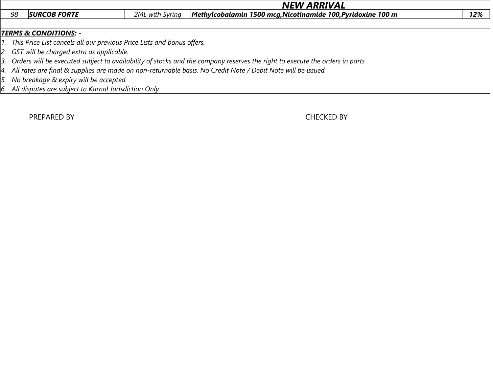|    | <b>NEW ARRIVAL</b>                                                        |                 |                                                                                                                                                                                                                                                                                                                                                                                                                                                              |     |
|----|---------------------------------------------------------------------------|-----------------|--------------------------------------------------------------------------------------------------------------------------------------------------------------------------------------------------------------------------------------------------------------------------------------------------------------------------------------------------------------------------------------------------------------------------------------------------------------|-----|
| 98 | <b>SURCOB FORTE</b>                                                       | 2ML with Syring | Methylcobalamin 1500 mcg, Nicotinamide 100, Pyridoxine 100 m                                                                                                                                                                                                                                                                                                                                                                                                 | 12% |
|    |                                                                           |                 |                                                                                                                                                                                                                                                                                                                                                                                                                                                              |     |
|    | <b>TERMS &amp; CONDITIONS: -</b>                                          |                 |                                                                                                                                                                                                                                                                                                                                                                                                                                                              |     |
|    | 1. This Price List cancels all our previous Price Lists and bonus offers. |                 |                                                                                                                                                                                                                                                                                                                                                                                                                                                              |     |
|    | 2. GST will be charged extra as applicable.                               |                 |                                                                                                                                                                                                                                                                                                                                                                                                                                                              |     |
|    |                                                                           |                 | 3. Orders will be executed subject to availability of stocks and the company reserves the right to execute the orders in parts.                                                                                                                                                                                                                                                                                                                              |     |
|    |                                                                           |                 | $\mathcal{L} = \mathcal{L} \mathcal{L} \mathcal{L} \mathcal{L} \mathcal{L} \mathcal{L} \mathcal{L} \mathcal{L} \mathcal{L} \mathcal{L} \mathcal{L} \mathcal{L} \mathcal{L} \mathcal{L} \mathcal{L} \mathcal{L} \mathcal{L} \mathcal{L} \mathcal{L} \mathcal{L} \mathcal{L} \mathcal{L} \mathcal{L} \mathcal{L} \mathcal{L} \mathcal{L} \mathcal{L} \mathcal{L} \mathcal{L} \mathcal{L} \mathcal{L} \mathcal{L} \mathcal{L} \mathcal{L} \mathcal{L} \mathcal$ |     |

*4. All rates are final & supplies are made on non-returnable basis. No Credit Note / Debit Note will be issued.*

*5. No breakage & expiry will be accepted.*

*6. All disputes are subject to Karnal Jurisdiction Only.*

PREPARED BY **CHECKED BY CHECKED BY**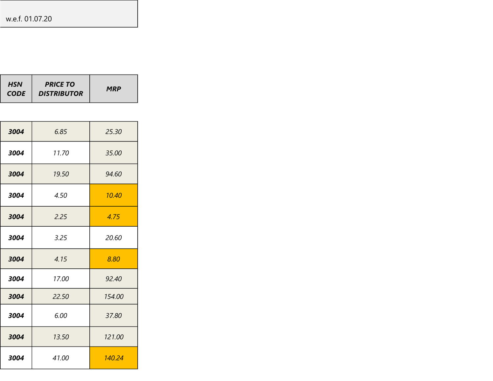| <b>HSN</b><br><b>CODE</b> | <b>PRICE TO</b><br><b>DISTRIBUTOR</b> | <b>MRP</b> |
|---------------------------|---------------------------------------|------------|
|---------------------------|---------------------------------------|------------|

| 3004 | 6.85  | 25.30  |
|------|-------|--------|
| 3004 | 11.70 | 35.00  |
| 3004 | 19.50 | 94.60  |
| 3004 | 4.50  | 10.40  |
| 3004 | 2.25  | 4.75   |
| 3004 | 3.25  | 20.60  |
| 3004 | 4.15  | 8.80   |
| 3004 | 17.00 | 92.40  |
| 3004 | 22.50 | 154.00 |
| 3004 | 6.00  | 37.80  |
| 3004 | 13.50 | 121.00 |
| 3004 | 41.00 | 140.24 |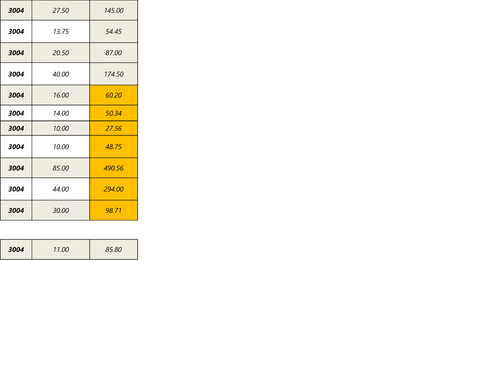| 3004 | 27.50 | 145.00 |
|------|-------|--------|
| 3004 | 13.75 | 54.45  |
| 3004 | 20.50 | 87.00  |
| 3004 | 40.00 | 174.50 |
| 3004 | 16.00 | 60.20  |
| 3004 | 14.00 | 50.34  |
| 3004 | 10.00 | 27.56  |
| 3004 | 10.00 | 48.75  |
| 3004 | 85.00 | 490.56 |
| 3004 | 44.00 | 294.00 |
| 3004 | 30.00 | 98.71  |

| 3004 | 11.00 | 85.80 |
|------|-------|-------|
|------|-------|-------|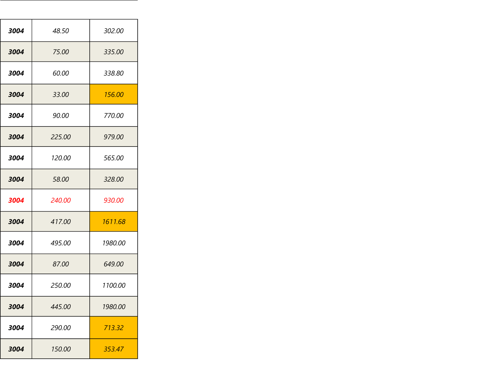| 3004 | 48.50  | 302.00  |
|------|--------|---------|
| 3004 | 75.00  | 335.00  |
| 3004 | 60.00  | 338.80  |
| 3004 | 33.00  | 156.00  |
| 3004 | 90.00  | 770.00  |
| 3004 | 225.00 | 979.00  |
| 3004 | 120.00 | 565.00  |
| 3004 | 58.00  | 328.00  |
| 3004 | 240.00 | 930.00  |
| 3004 | 417.00 | 1611.68 |
| 3004 | 495.00 | 1980.00 |
| 3004 | 87.00  | 649.00  |
| 3004 | 250.00 | 1100.00 |
| 3004 | 445.00 | 1980.00 |
| 3004 | 290.00 | 713.32  |
| 3004 | 150.00 | 353.47  |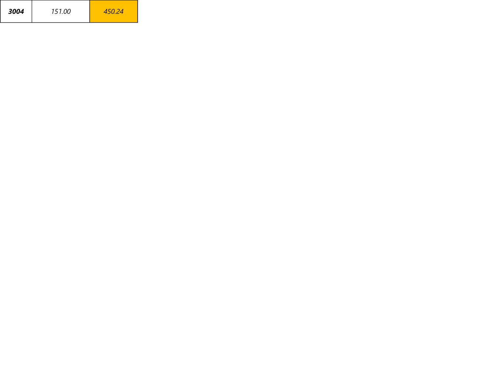| 3004 | 151.00 |  |
|------|--------|--|
|------|--------|--|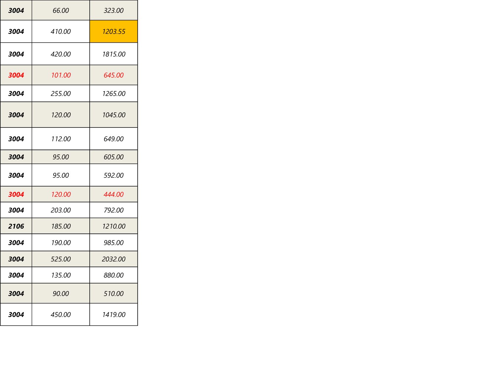| 3004 | 66.00  | 323.00         |
|------|--------|----------------|
| 3004 | 410.00 | 1203.55        |
| 3004 | 420.00 | 1815.00        |
| 3004 | 101.00 | 645.00         |
| 3004 | 255.00 | 1265.00        |
| 3004 | 120.00 | 1045.00        |
| 3004 | 112.00 | 649.00         |
| 3004 | 95.00  | 605.00         |
| 3004 | 95.00  | 592.00         |
| 3004 | 120.00 | 444.00         |
| 3004 | 203.00 | 792.00         |
| 2106 | 185.00 | <i>1210.00</i> |
| 3004 | 190.00 | 985.00         |
| 3004 | 525.00 | 2032.00        |
| 3004 | 135.00 | 880.00         |
| 3004 | 90.00  | 510.00         |
| 3004 | 450.00 | 1419.00        |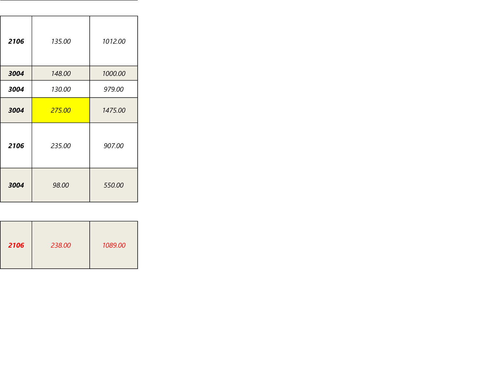| 2106 | 135.00 | 1012.00 |
|------|--------|---------|
| 3004 | 148.00 | 1000.00 |
| 3004 | 130.00 | 979.00  |
| 3004 | 275.00 | 1475.00 |
| 2106 | 235.00 | 907.00  |
| 3004 | 98.00  | 550.00  |

| 238.00<br>2106 | 1089.00 |
|----------------|---------|
|----------------|---------|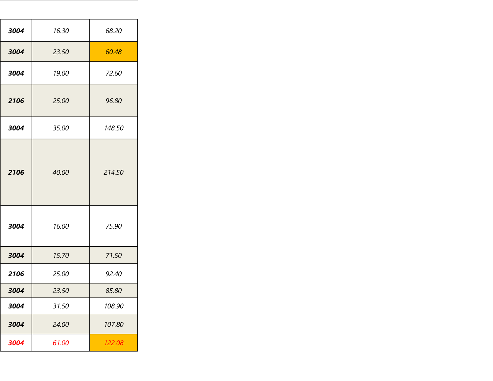| 3004 | 16.30 | 68.20  |
|------|-------|--------|
| 3004 | 23.50 | 60.48  |
| 3004 | 19.00 | 72.60  |
| 2106 | 25.00 | 96.80  |
| 3004 | 35.00 | 148.50 |
| 2106 | 40.00 | 214.50 |
| 3004 | 16.00 | 75.90  |
| 3004 | 15.70 | 71.50  |
| 2106 | 25.00 | 92.40  |
| 3004 | 23.50 | 85.80  |
| 3004 | 31.50 | 108.90 |
| 3004 | 24.00 | 107.80 |
| 3004 | 61.00 | 122.08 |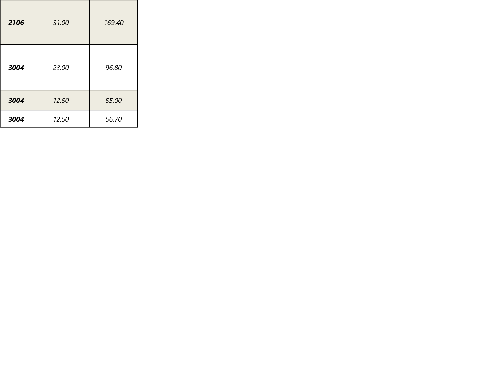| 2106 | 31.00 | 169.40 |
|------|-------|--------|
| 3004 | 23.00 | 96.80  |
| 3004 | 12.50 | 55.00  |
| 3004 | 12.50 | 56.70  |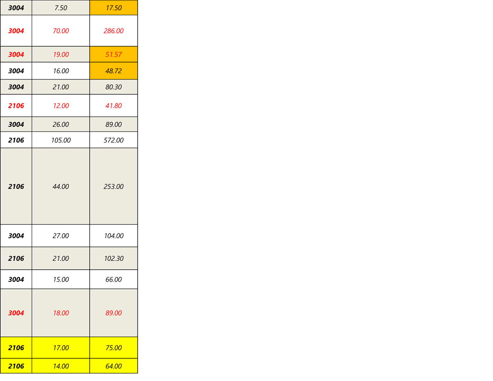| 3004 | 7.50   | 17.50  |
|------|--------|--------|
| 3004 | 70.00  | 286.00 |
| 3004 | 19.00  | 51.57  |
| 3004 | 16.00  | 48.72  |
| 3004 | 21.00  | 80.30  |
| 2106 | 12.00  | 41.80  |
| 3004 | 26.00  | 89.00  |
| 2106 | 105.00 | 572.00 |
| 2106 | 44.00  | 253.00 |
| 3004 | 27.00  | 104.00 |
| 2106 | 21.00  | 102.30 |
| 3004 | 15.00  | 66.00  |
| 3004 | 18.00  | 89.00  |
| 2106 | 17.00  | 75.00  |
| 2106 | 14.00  | 64.00  |